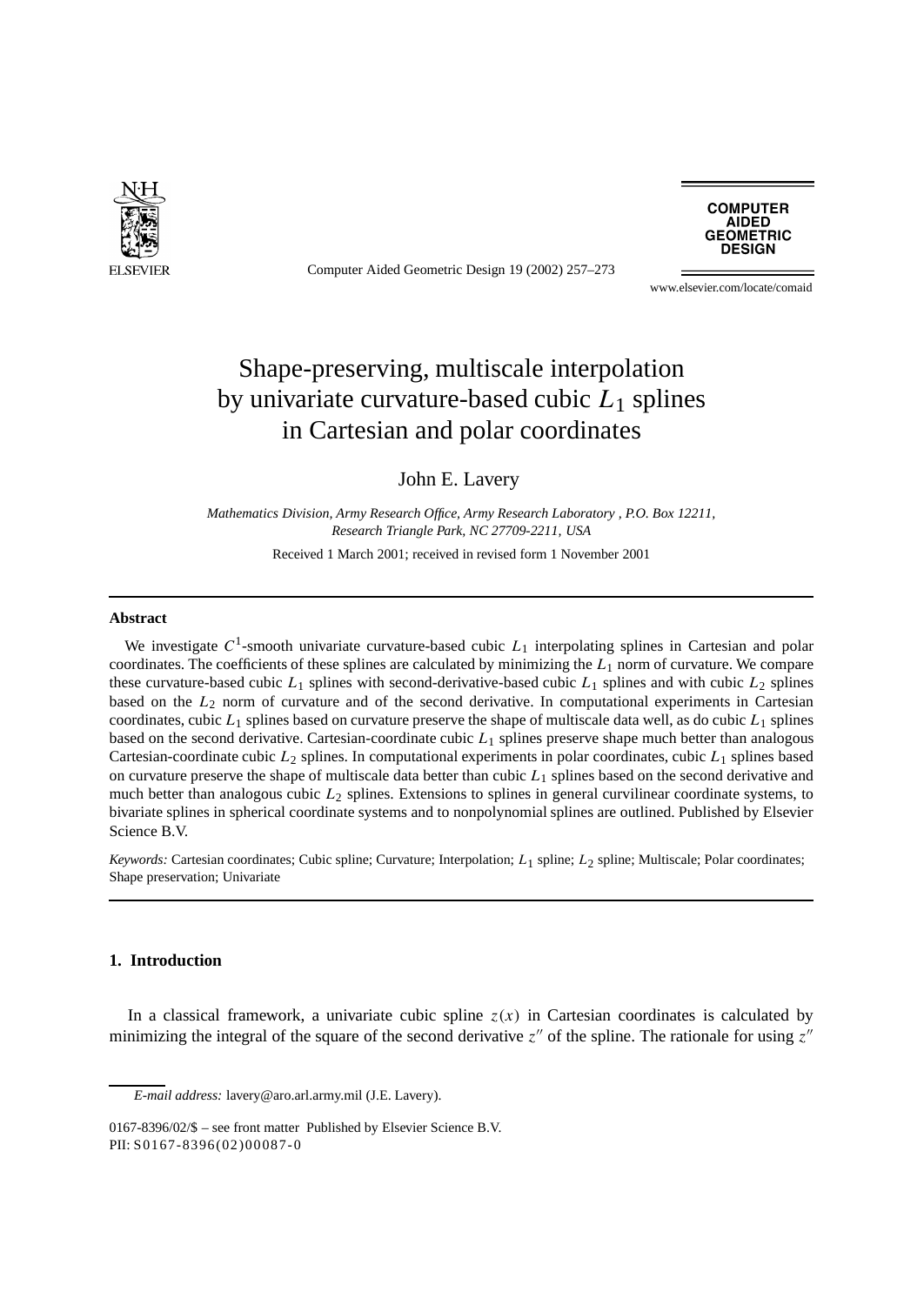

Computer Aided Geometric Design 19 (2002) 257–273



www.elsevier.com/locate/comaid

# Shape-preserving, multiscale interpolation by univariate curvature-based cubic *L*<sup>1</sup> splines in Cartesian and polar coordinates

John E. Lavery

*Mathematics Division, Army Research Office, Army Research Laboratory , P.O. Box 12211, Research Triangle Park, NC 27709-2211, USA*

Received 1 March 2001; received in revised form 1 November 2001

### **Abstract**

We investigate C<sup>1</sup>-smooth univariate curvature-based cubic L<sub>1</sub> interpolating splines in Cartesian and polar coordinates. The coefficients of these splines are calculated by minimizing the *L*<sup>1</sup> norm of curvature. We compare these curvature-based cubic *L*<sup>1</sup> splines with second-derivative-based cubic *L*<sup>1</sup> splines and with cubic *L*<sup>2</sup> splines based on the *L*<sup>2</sup> norm of curvature and of the second derivative. In computational experiments in Cartesian coordinates, cubic *L*<sup>1</sup> splines based on curvature preserve the shape of multiscale data well, as do cubic *L*<sup>1</sup> splines based on the second derivative. Cartesian-coordinate cubic *L*<sup>1</sup> splines preserve shape much better than analogous Cartesian-coordinate cubic *L*<sup>2</sup> splines. In computational experiments in polar coordinates, cubic *L*<sup>1</sup> splines based on curvature preserve the shape of multiscale data better than cubic *L*<sup>1</sup> splines based on the second derivative and much better than analogous cubic *L*<sup>2</sup> splines. Extensions to splines in general curvilinear coordinate systems, to bivariate splines in spherical coordinate systems and to nonpolynomial splines are outlined. Published by Elsevier Science B.V.

*Keywords:* Cartesian coordinates; Cubic spline; Curvature; Interpolation; *L*<sub>1</sub> spline; *L*<sub>2</sub> spline; Multiscale; Polar coordinates; Shape preservation; Univariate

# **1. Introduction**

In a classical framework, a univariate cubic spline  $z(x)$  in Cartesian coordinates is calculated by minimizing the integral of the square of the second derivative  $z''$  of the spline. The rationale for using  $z''$ 

*E-mail address:* lavery@aro.arl.army.mil (J.E. Lavery).

<sup>0167-8396/02/\$ –</sup> see front matter Published by Elsevier Science B.V. PII: S0167-8396(02)00087-0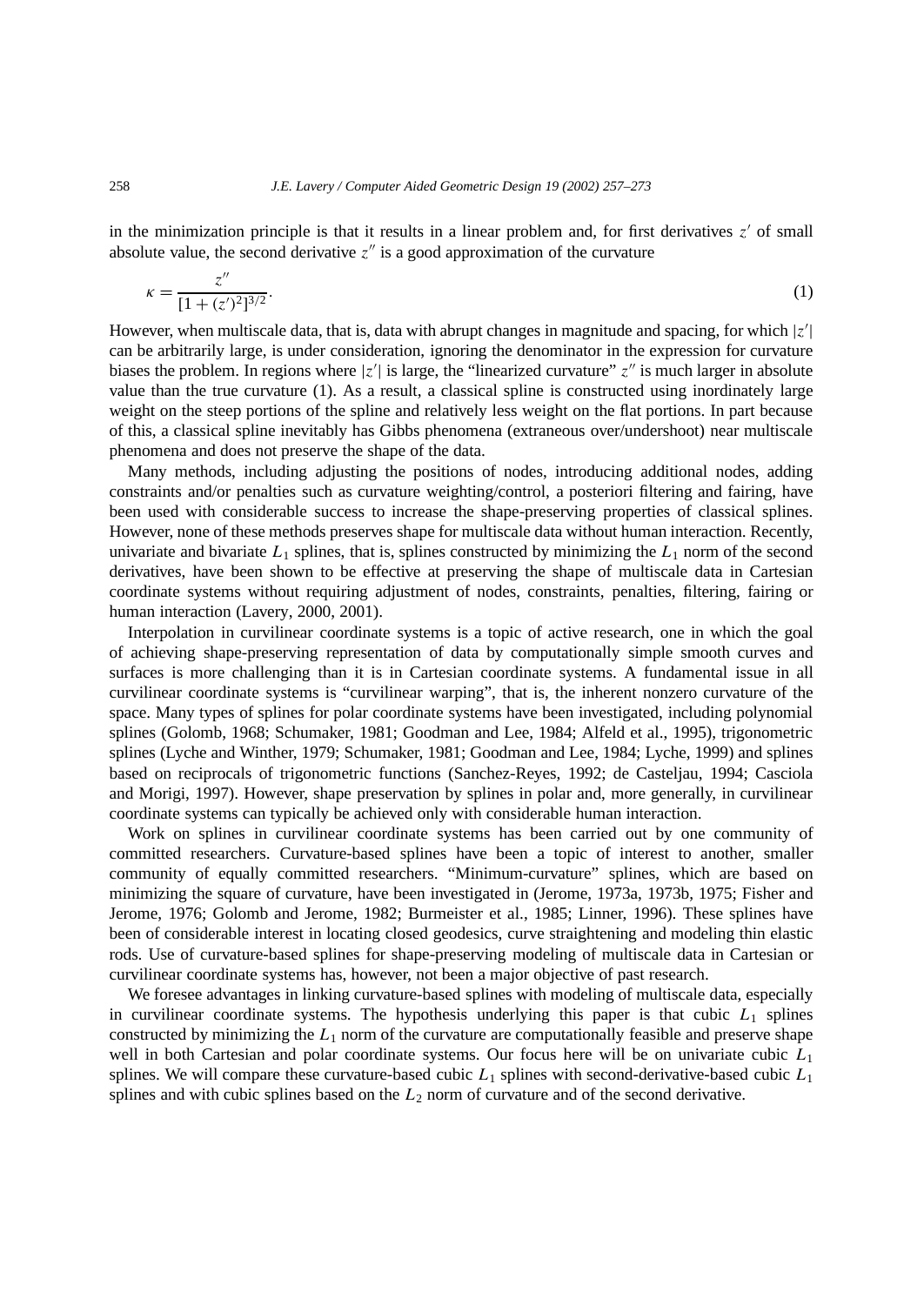in the minimization principle is that it results in a linear problem and, for first derivatives  $z'$  of small absolute value, the second derivative  $z''$  is a good approximation of the curvature

$$
\kappa = \frac{z''}{[1 + (z')^2]^{3/2}}.\tag{1}
$$

However, when multiscale data, that is, data with abrupt changes in magnitude and spacing, for which |*z* | can be arbitrarily large, is under consideration, ignoring the denominator in the expression for curvature biases the problem. In regions where  $|z'|$  is large, the "linearized curvature"  $z''$  is much larger in absolute value than the true curvature (1). As a result, a classical spline is constructed using inordinately large weight on the steep portions of the spline and relatively less weight on the flat portions. In part because of this, a classical spline inevitably has Gibbs phenomena (extraneous over/undershoot) near multiscale phenomena and does not preserve the shape of the data.

Many methods, including adjusting the positions of nodes, introducing additional nodes, adding constraints and/or penalties such as curvature weighting/control, a posteriori filtering and fairing, have been used with considerable success to increase the shape-preserving properties of classical splines. However, none of these methods preserves shape for multiscale data without human interaction. Recently, univariate and bivariate  $L_1$  splines, that is, splines constructed by minimizing the  $L_1$  norm of the second derivatives, have been shown to be effective at preserving the shape of multiscale data in Cartesian coordinate systems without requiring adjustment of nodes, constraints, penalties, filtering, fairing or human interaction (Lavery, 2000, 2001).

Interpolation in curvilinear coordinate systems is a topic of active research, one in which the goal of achieving shape-preserving representation of data by computationally simple smooth curves and surfaces is more challenging than it is in Cartesian coordinate systems. A fundamental issue in all curvilinear coordinate systems is "curvilinear warping", that is, the inherent nonzero curvature of the space. Many types of splines for polar coordinate systems have been investigated, including polynomial splines (Golomb, 1968; Schumaker, 1981; Goodman and Lee, 1984; Alfeld et al., 1995), trigonometric splines (Lyche and Winther, 1979; Schumaker, 1981; Goodman and Lee, 1984; Lyche, 1999) and splines based on reciprocals of trigonometric functions (Sanchez-Reyes, 1992; de Casteljau, 1994; Casciola and Morigi, 1997). However, shape preservation by splines in polar and, more generally, in curvilinear coordinate systems can typically be achieved only with considerable human interaction.

Work on splines in curvilinear coordinate systems has been carried out by one community of committed researchers. Curvature-based splines have been a topic of interest to another, smaller community of equally committed researchers. "Minimum-curvature" splines, which are based on minimizing the square of curvature, have been investigated in (Jerome, 1973a, 1973b, 1975; Fisher and Jerome, 1976; Golomb and Jerome, 1982; Burmeister et al., 1985; Linner, 1996). These splines have been of considerable interest in locating closed geodesics, curve straightening and modeling thin elastic rods. Use of curvature-based splines for shape-preserving modeling of multiscale data in Cartesian or curvilinear coordinate systems has, however, not been a major objective of past research.

We foresee advantages in linking curvature-based splines with modeling of multiscale data, especially in curvilinear coordinate systems. The hypothesis underlying this paper is that cubic  $L_1$  splines constructed by minimizing the  $L_1$  norm of the curvature are computationally feasible and preserve shape well in both Cartesian and polar coordinate systems. Our focus here will be on univariate cubic  $L_1$ splines. We will compare these curvature-based cubic *L*<sup>1</sup> splines with second-derivative-based cubic *L*<sup>1</sup> splines and with cubic splines based on the *L*<sup>2</sup> norm of curvature and of the second derivative.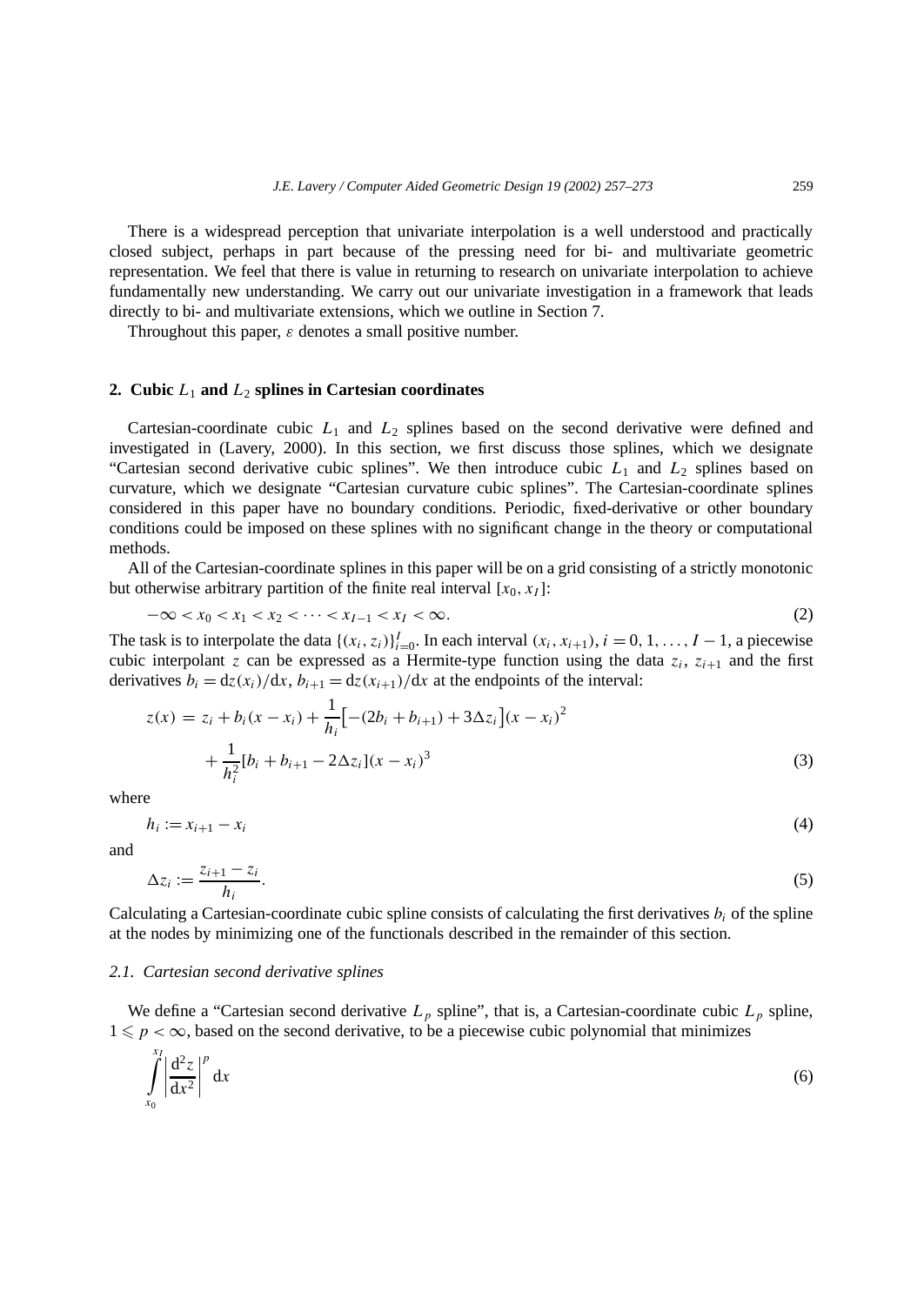There is a widespread perception that univariate interpolation is a well understood and practically closed subject, perhaps in part because of the pressing need for bi- and multivariate geometric representation. We feel that there is value in returning to research on univariate interpolation to achieve fundamentally new understanding. We carry out our univariate investigation in a framework that leads directly to bi- and multivariate extensions, which we outline in Section 7.

Throughout this paper, *ε* denotes a small positive number.

## **2. Cubic** *L*<sup>1</sup> **and** *L*<sup>2</sup> **splines in Cartesian coordinates**

Cartesian-coordinate cubic *L*<sup>1</sup> and *L*<sup>2</sup> splines based on the second derivative were defined and investigated in (Lavery, 2000). In this section, we first discuss those splines, which we designate "Cartesian second derivative cubic splines". We then introduce cubic  $L_1$  and  $L_2$  splines based on curvature, which we designate "Cartesian curvature cubic splines". The Cartesian-coordinate splines considered in this paper have no boundary conditions. Periodic, fixed-derivative or other boundary conditions could be imposed on these splines with no significant change in the theory or computational methods.

All of the Cartesian-coordinate splines in this paper will be on a grid consisting of a strictly monotonic but otherwise arbitrary partition of the finite real interval  $[x_0, x_1]$ :

$$
-\infty < x_0 < x_1 < x_2 < \cdots < x_{I-1} < x_I < \infty.
$$
 (2)

The task is to interpolate the data  $\{(x_i, z_i)\}_{i=0}^I$ . In each interval  $(x_i, x_{i+1}), i = 0, 1, \ldots, I-1$ , a piecewise cubic interpolant *z* can be expressed as a Hermite-type function using the data  $z_i$ ,  $z_{i+1}$  and the first derivatives  $b_i = \frac{dz(x_i)}{dx}$ ,  $b_{i+1} = \frac{dz(x_{i+1})}{dx}$  at the endpoints of the interval:

$$
z(x) = z_i + b_i(x - x_i) + \frac{1}{h_i} \left[ -(2b_i + b_{i+1}) + 3\Delta z_i \right] (x - x_i)^2
$$
  
+ 
$$
\frac{1}{h_i^2} [b_i + b_{i+1} - 2\Delta z_i] (x - x_i)^3
$$
(3)

where

 $h_i := x_{i+1} - x_i$  (4)

and

$$
\Delta z_i := \frac{z_{i+1} - z_i}{h_i}.\tag{5}
$$

Calculating a Cartesian-coordinate cubic spline consists of calculating the first derivatives  $b_i$  of the spline at the nodes by minimizing one of the functionals described in the remainder of this section.

#### *2.1. Cartesian second derivative splines*

We define a "Cartesian second derivative  $L_p$  spline", that is, a Cartesian-coordinate cubic  $L_p$  spline,  $1 \leqslant p < \infty$ , based on the second derivative, to be a piecewise cubic polynomial that minimizes

$$
\int_{x_0}^{x_1} \left| \frac{d^2 z}{dx^2} \right|^p dx \tag{6}
$$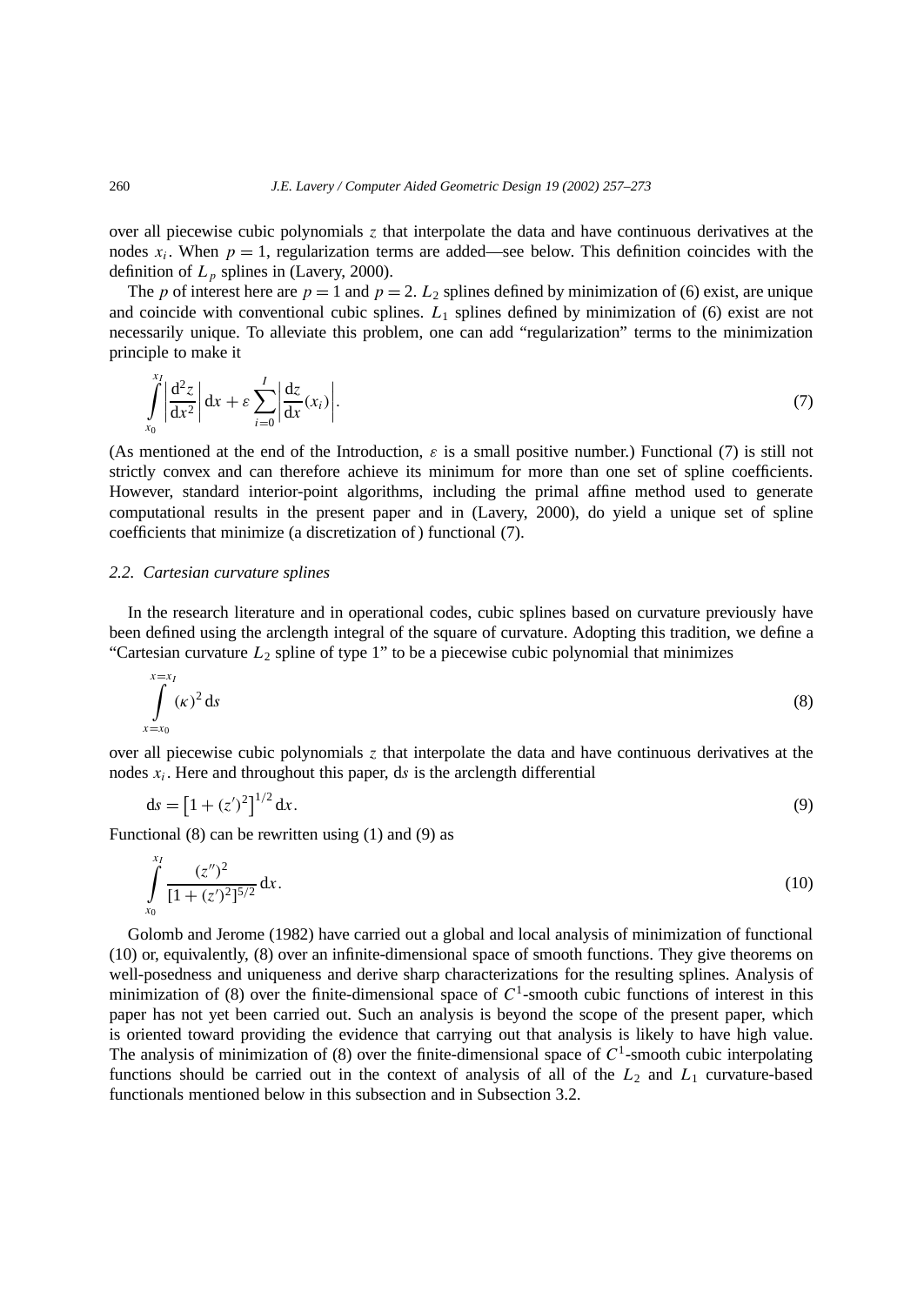over all piecewise cubic polynomials *z* that interpolate the data and have continuous derivatives at the nodes  $x_i$ . When  $p = 1$ , regularization terms are added—see below. This definition coincides with the definition of  $L_p$  splines in (Lavery, 2000).

The *p* of interest here are  $p = 1$  and  $p = 2$ .  $L_2$  splines defined by minimization of (6) exist, are unique and coincide with conventional cubic splines. *L*<sup>1</sup> splines defined by minimization of (6) exist are not necessarily unique. To alleviate this problem, one can add "regularization" terms to the minimization principle to make it

$$
\int_{x_0}^{\Lambda} \left| \frac{d^2 z}{dx^2} \right| dx + \varepsilon \sum_{i=0}^{I} \left| \frac{dz}{dx} (x_i) \right|.
$$
\n(7)

(As mentioned at the end of the Introduction,  $\varepsilon$  is a small positive number.) Functional (7) is still not strictly convex and can therefore achieve its minimum for more than one set of spline coefficients. However, standard interior-point algorithms, including the primal affine method used to generate computational results in the present paper and in (Lavery, 2000), do yield a unique set of spline coefficients that minimize (a discretization of ) functional (7).

## *2.2. Cartesian curvature splines*

In the research literature and in operational codes, cubic splines based on curvature previously have been defined using the arclength integral of the square of curvature. Adopting this tradition, we define a "Cartesian curvature  $L_2$  spline of type 1" to be a piecewise cubic polynomial that minimizes

$$
\int_{x=x_0}^{x=x_I} (\kappa)^2 ds \tag{8}
$$

over all piecewise cubic polynomials *z* that interpolate the data and have continuous derivatives at the nodes  $x_i$ . Here and throughout this paper, ds is the arclength differential

$$
ds = [1 + (z')^2]^{1/2} dx.
$$
 (9)

Functional (8) can be rewritten using (1) and (9) as

$$
\int_{x_0}^{x_1} \frac{(z'')^2}{[1 + (z')^2]^{5/2}} \, \mathrm{d}x. \tag{10}
$$

Golomb and Jerome (1982) have carried out a global and local analysis of minimization of functional (10) or, equivalently, (8) over an infinite-dimensional space of smooth functions. They give theorems on well-posedness and uniqueness and derive sharp characterizations for the resulting splines. Analysis of minimization of (8) over the finite-dimensional space of  $C^1$ -smooth cubic functions of interest in this paper has not yet been carried out. Such an analysis is beyond the scope of the present paper, which is oriented toward providing the evidence that carrying out that analysis is likely to have high value. The analysis of minimization of  $(8)$  over the finite-dimensional space of  $C<sup>1</sup>$ -smooth cubic interpolating functions should be carried out in the context of analysis of all of the  $L_2$  and  $L_1$  curvature-based functionals mentioned below in this subsection and in Subsection 3.2.

*xI*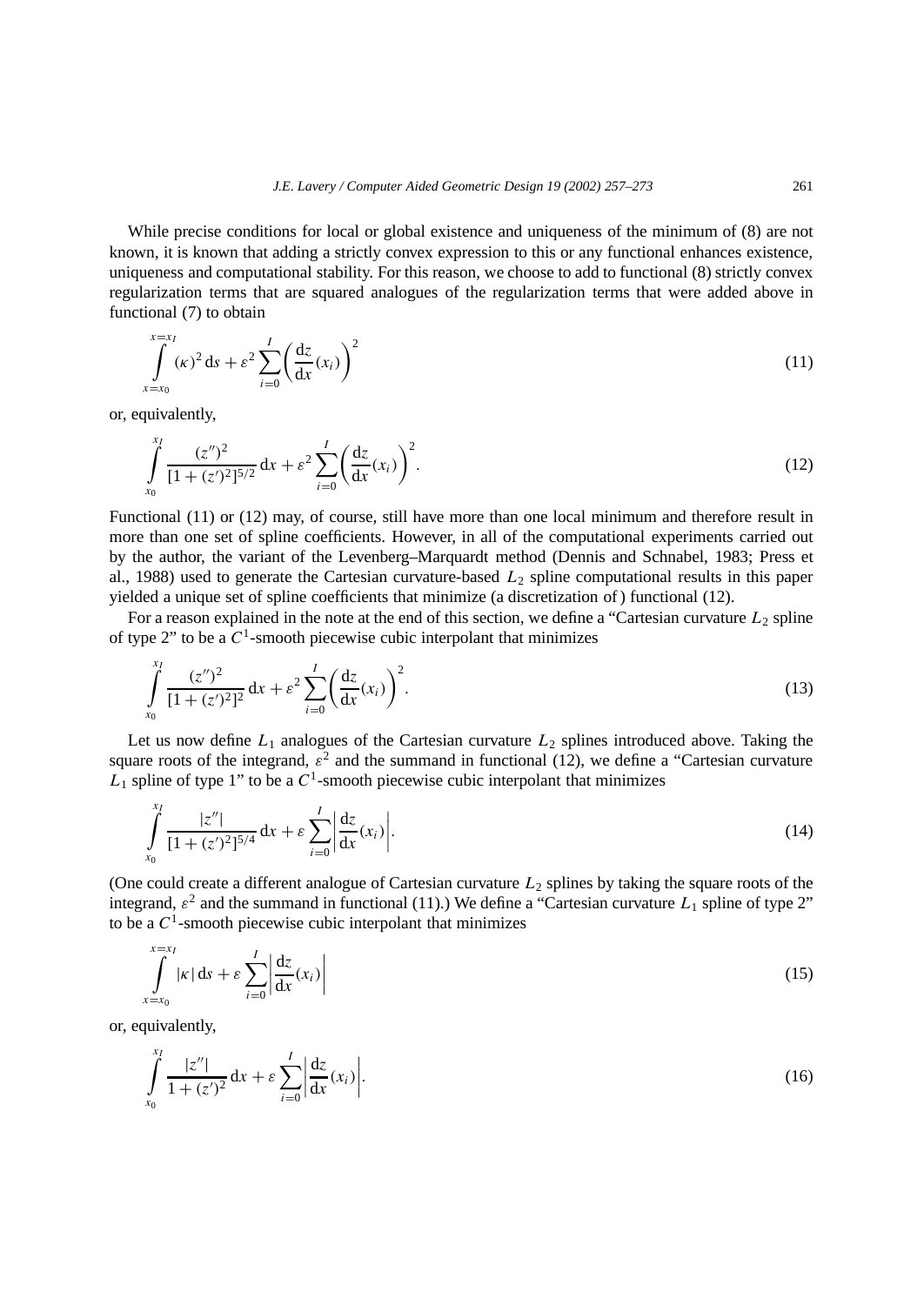While precise conditions for local or global existence and uniqueness of the minimum of (8) are not known, it is known that adding a strictly convex expression to this or any functional enhances existence, uniqueness and computational stability. For this reason, we choose to add to functional (8) strictly convex regularization terms that are squared analogues of the regularization terms that were added above in functional (7) to obtain

$$
\int_{x=x_0}^{x=x_1} (k)^2 ds + \varepsilon^2 \sum_{i=0}^{I} \left( \frac{dz}{dx}(x_i) \right)^2
$$
\n(11)

or, equivalently,

$$
\int_{x_0}^{x_1} \frac{(z'')^2}{[1 + (z')^2]^{5/2}} dx + \varepsilon^2 \sum_{i=0}^{I} \left(\frac{dz}{dx}(x_i)\right)^2.
$$
 (12)

Functional (11) or (12) may, of course, still have more than one local minimum and therefore result in more than one set of spline coefficients. However, in all of the computational experiments carried out by the author, the variant of the Levenberg–Marquardt method (Dennis and Schnabel, 1983; Press et al., 1988) used to generate the Cartesian curvature-based *L*<sup>2</sup> spline computational results in this paper yielded a unique set of spline coefficients that minimize (a discretization of ) functional (12).

For a reason explained in the note at the end of this section, we define a "Cartesian curvature  $L_2$  spline of type  $2$ " to be a  $C<sup>1</sup>$ -smooth piecewise cubic interpolant that minimizes

$$
\int_{x_0}^{x_1} \frac{(z'')^2}{[1 + (z')^2]^2} dx + \varepsilon^2 \sum_{i=0}^{I} \left(\frac{dz}{dx}(x_i)\right)^2.
$$
\n(13)

Let us now define  $L_1$  analogues of the Cartesian curvature  $L_2$  splines introduced above. Taking the square roots of the integrand,  $\varepsilon^2$  and the summand in functional (12), we define a "Cartesian curvature  $\overline{L}_1$  spline of type 1" to be a  $C^1$ -smooth piecewise cubic interpolant that minimizes

$$
\int_{x_0}^{x_1} \frac{|z''|}{[1 + (z')^2]^{5/4}} dx + \varepsilon \sum_{i=0}^{I} \left| \frac{dz}{dx}(x_i) \right|.
$$
 (14)

(One could create a different analogue of Cartesian curvature *L*<sup>2</sup> splines by taking the square roots of the integrand,  $\varepsilon^2$  and the summand in functional (11).) We define a "Cartesian curvature  $L_1$  spline of type 2" to be a  $C<sup>1</sup>$ -smooth piecewise cubic interpolant that minimizes

$$
\int_{x=x_0}^{x=x_1} |\kappa| \, \mathrm{d}s + \varepsilon \sum_{i=0}^I \left| \frac{\mathrm{d}z}{\mathrm{d}x}(x_i) \right| \tag{15}
$$

or, equivalently,

$$
\int_{x_0}^{x_1} \frac{|z''|}{1 + (z')^2} dx + \varepsilon \sum_{i=0}^{I} \left| \frac{dz}{dx} (x_i) \right|.
$$
 (16)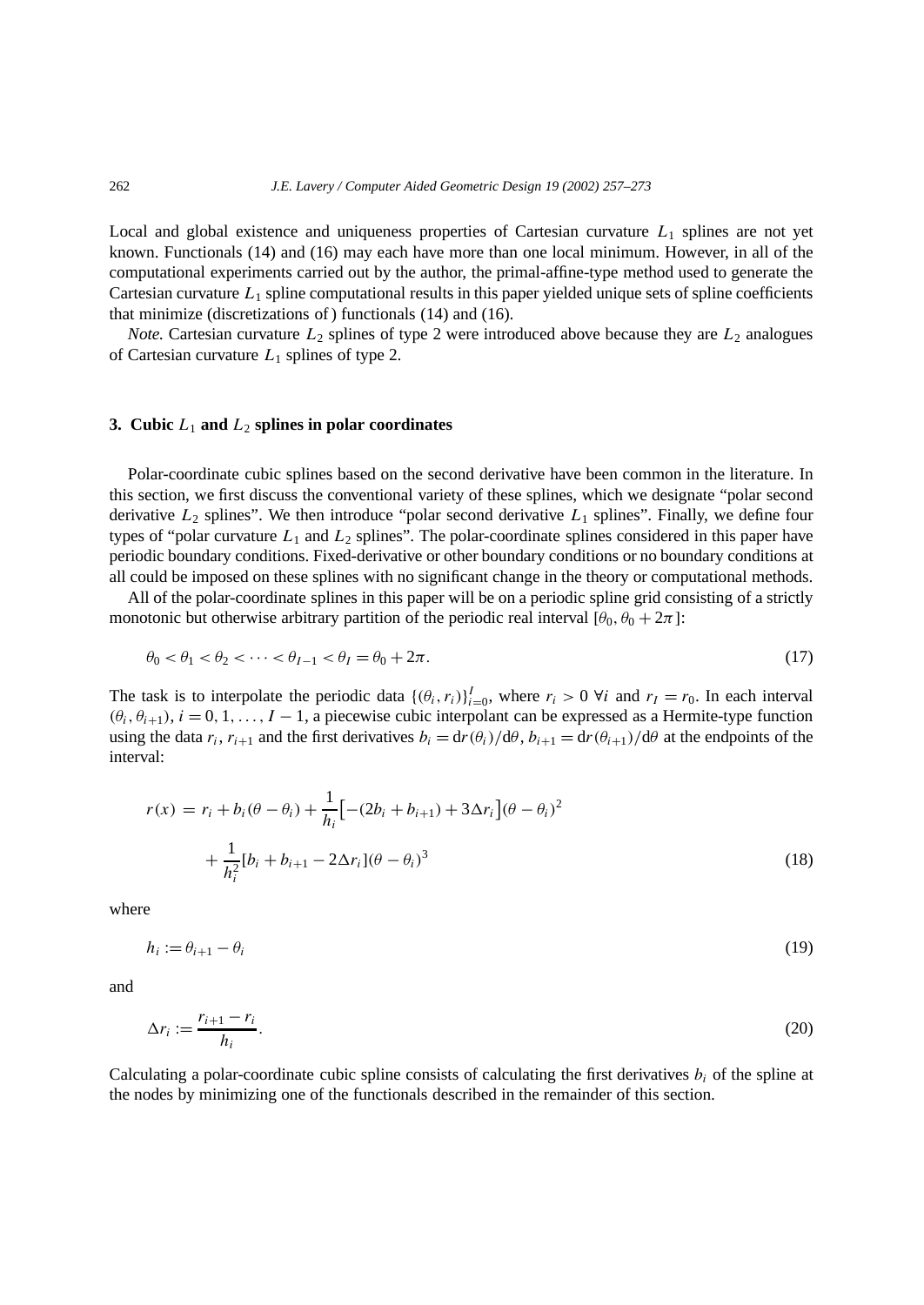Local and global existence and uniqueness properties of Cartesian curvature  $L_1$  splines are not yet known. Functionals (14) and (16) may each have more than one local minimum. However, in all of the computational experiments carried out by the author, the primal-affine-type method used to generate the Cartesian curvature *L*<sup>1</sup> spline computational results in this paper yielded unique sets of spline coefficients that minimize (discretizations of ) functionals (14) and (16).

*Note.* Cartesian curvature  $L_2$  splines of type 2 were introduced above because they are  $L_2$  analogues of Cartesian curvature  $L_1$  splines of type 2.

## **3.** Cubic  $L_1$  and  $L_2$  splines in polar coordinates

Polar-coordinate cubic splines based on the second derivative have been common in the literature. In this section, we first discuss the conventional variety of these splines, which we designate "polar second derivative  $L_2$  splines". We then introduce "polar second derivative  $L_1$  splines". Finally, we define four types of "polar curvature  $L_1$  and  $L_2$  splines". The polar-coordinate splines considered in this paper have periodic boundary conditions. Fixed-derivative or other boundary conditions or no boundary conditions at all could be imposed on these splines with no significant change in the theory or computational methods.

All of the polar-coordinate splines in this paper will be on a periodic spline grid consisting of a strictly monotonic but otherwise arbitrary partition of the periodic real interval  $[\theta_0, \theta_0 + 2\pi]$ :

$$
\theta_0 < \theta_1 < \theta_2 < \dots < \theta_{I-1} < \theta_I = \theta_0 + 2\pi. \tag{17}
$$

The task is to interpolate the periodic data  $\{(\theta_i, r_i)\}_{i=0}^I$ , where  $r_i > 0$   $\forall i$  and  $r_I = r_0$ . In each interval  $(\theta_i, \theta_{i+1}), i = 0, 1, \ldots, I-1$ , a piecewise cubic interpolant can be expressed as a Hermite-type function using the data  $r_i$ ,  $r_{i+1}$  and the first derivatives  $b_i = dr(\theta_i)/d\theta$ ,  $b_{i+1} = dr(\theta_{i+1})/d\theta$  at the endpoints of the interval:

$$
r(x) = r_i + b_i(\theta - \theta_i) + \frac{1}{h_i} \left[ -(2b_i + b_{i+1}) + 3\Delta r_i \right] (\theta - \theta_i)^2
$$
  
+ 
$$
\frac{1}{h_i^2} [b_i + b_{i+1} - 2\Delta r_i] (\theta - \theta_i)^3
$$
(18)

where

$$
h_i := \theta_{i+1} - \theta_i \tag{19}
$$

and

$$
\Delta r_i := \frac{r_{i+1} - r_i}{h_i}.\tag{20}
$$

Calculating a polar-coordinate cubic spline consists of calculating the first derivatives  $b_i$  of the spline at the nodes by minimizing one of the functionals described in the remainder of this section.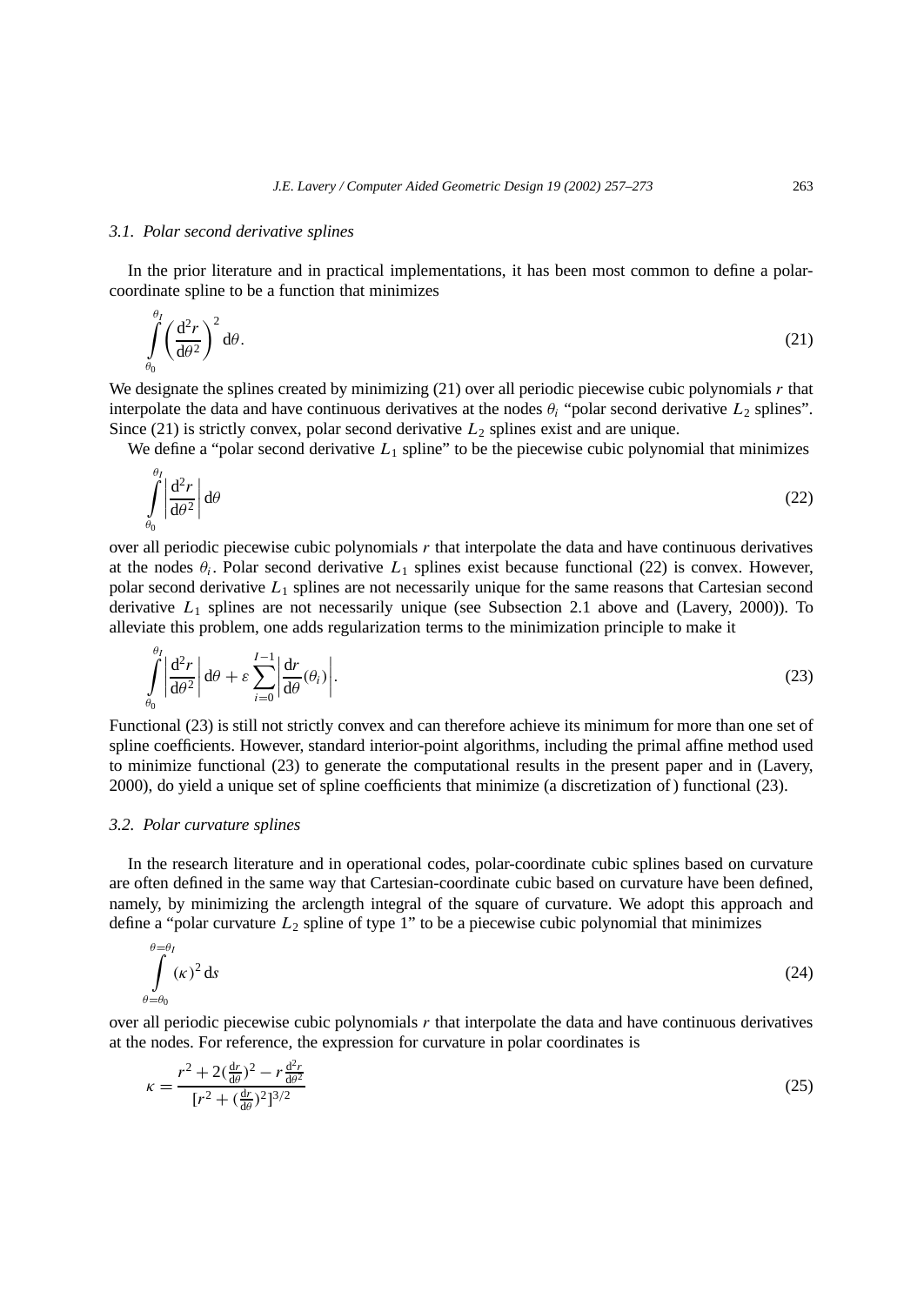#### *3.1. Polar second derivative splines*

In the prior literature and in practical implementations, it has been most common to define a polarcoordinate spline to be a function that minimizes

$$
\int_{\theta_0}^{\theta_I} \left(\frac{\mathrm{d}^2 r}{\mathrm{d}\theta^2}\right)^2 \mathrm{d}\theta. \tag{21}
$$

We designate the splines created by minimizing (21) over all periodic piecewise cubic polynomials *r* that interpolate the data and have continuous derivatives at the nodes  $\theta_i$  "polar second derivative  $L_2$  splines". Since (21) is strictly convex, polar second derivative  $L_2$  splines exist and are unique.

We define a "polar second derivative  $L_1$  spline" to be the piecewise cubic polynomial that minimizes

$$
\int_{\theta_0}^{\theta_I} \left| \frac{\mathrm{d}^2 r}{\mathrm{d}\theta^2} \right| \mathrm{d}\theta \tag{22}
$$

over all periodic piecewise cubic polynomials *r* that interpolate the data and have continuous derivatives at the nodes  $\theta_i$ . Polar second derivative  $L_1$  splines exist because functional (22) is convex. However, polar second derivative *L*<sup>1</sup> splines are not necessarily unique for the same reasons that Cartesian second derivative *L*<sup>1</sup> splines are not necessarily unique (see Subsection 2.1 above and (Lavery, 2000)). To alleviate this problem, one adds regularization terms to the minimization principle to make it

$$
\int_{\theta_0}^{\theta_1} \left| \frac{d^2 r}{d\theta^2} \right| d\theta + \varepsilon \sum_{i=0}^{I-1} \left| \frac{dr}{d\theta}(\theta_i) \right|.
$$
 (23)

Functional (23) is still not strictly convex and can therefore achieve its minimum for more than one set of spline coefficients. However, standard interior-point algorithms, including the primal affine method used to minimize functional (23) to generate the computational results in the present paper and in (Lavery, 2000), do yield a unique set of spline coefficients that minimize (a discretization of ) functional (23).

#### *3.2. Polar curvature splines*

*θI*

In the research literature and in operational codes, polar-coordinate cubic splines based on curvature are often defined in the same way that Cartesian-coordinate cubic based on curvature have been defined, namely, by minimizing the arclength integral of the square of curvature. We adopt this approach and define a "polar curvature *L*<sup>2</sup> spline of type 1" to be a piecewise cubic polynomial that minimizes

$$
\int_{\theta=\theta_0}^{\theta=\theta_1} (k)^2 \, \mathrm{d}s \tag{24}
$$

over all periodic piecewise cubic polynomials *r* that interpolate the data and have continuous derivatives at the nodes. For reference, the expression for curvature in polar coordinates is

$$
\kappa = \frac{r^2 + 2(\frac{dr}{d\theta})^2 - r\frac{d^2r}{d\theta^2}}{[r^2 + (\frac{dr}{d\theta})^2]^{3/2}}
$$
(25)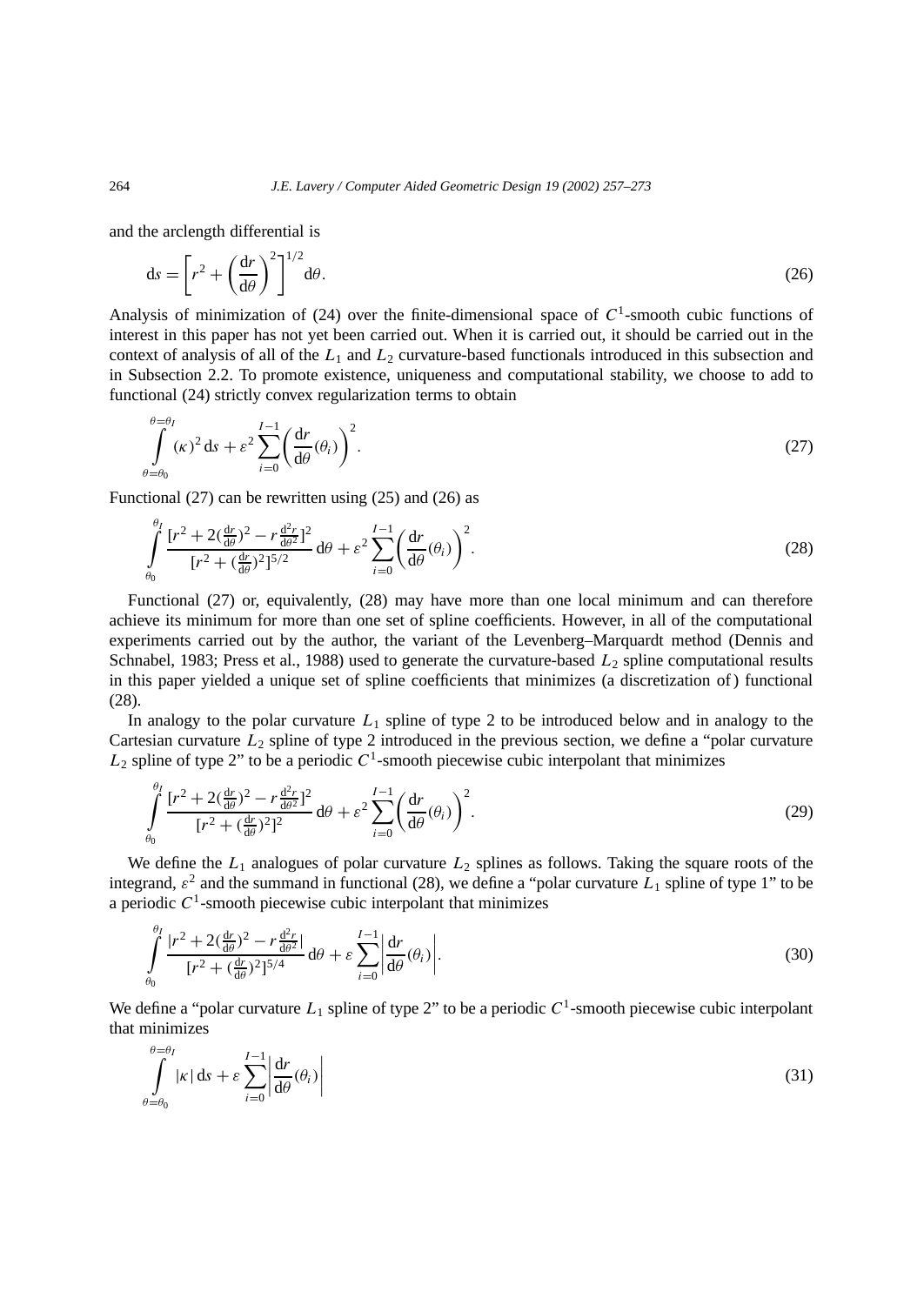and the arclength differential is

$$
ds = \left[r^2 + \left(\frac{dr}{d\theta}\right)^2\right]^{1/2} d\theta. \tag{26}
$$

Analysis of minimization of (24) over the finite-dimensional space of  $C<sup>1</sup>$ -smooth cubic functions of interest in this paper has not yet been carried out. When it is carried out, it should be carried out in the context of analysis of all of the *L*<sup>1</sup> and *L*<sup>2</sup> curvature-based functionals introduced in this subsection and in Subsection 2.2. To promote existence, uniqueness and computational stability, we choose to add to functional (24) strictly convex regularization terms to obtain

$$
\int_{\theta=\theta_0}^{\theta=\theta_1} (k)^2 ds + \varepsilon^2 \sum_{i=0}^{I-1} \left(\frac{dr}{d\theta}(\theta_i)\right)^2.
$$
\n(27)

Functional  $(27)$  can be rewritten using  $(25)$  and  $(26)$  as

$$
\int_{\theta_0}^{\theta_1} \frac{[r^2 + 2(\frac{dr}{d\theta})^2 - r\frac{d^2r}{d\theta^2}]^2}{[r^2 + (\frac{dr}{d\theta})^2]^{5/2}} d\theta + \varepsilon^2 \sum_{i=0}^{I-1} \left(\frac{dr}{d\theta}(\theta_i)\right)^2.
$$
\n(28)

Functional (27) or, equivalently, (28) may have more than one local minimum and can therefore achieve its minimum for more than one set of spline coefficients. However, in all of the computational experiments carried out by the author, the variant of the Levenberg–Marquardt method (Dennis and Schnabel, 1983; Press et al., 1988) used to generate the curvature-based  $L_2$  spline computational results in this paper yielded a unique set of spline coefficients that minimizes (a discretization of ) functional (28).

In analogy to the polar curvature *L*<sup>1</sup> spline of type 2 to be introduced below and in analogy to the Cartesian curvature  $L_2$  spline of type 2 introduced in the previous section, we define a "polar curvature"  $L_2$  spline of type 2" to be a periodic  $C<sup>1</sup>$ -smooth piecewise cubic interpolant that minimizes

$$
\int_{\theta_0}^{\theta_I} \frac{[r^2 + 2(\frac{dr}{d\theta})^2 - r\frac{d^2r}{d\theta^2}]^2}{[r^2 + (\frac{dr}{d\theta})^2]^2} d\theta + \varepsilon^2 \sum_{i=0}^{I-1} \left(\frac{dr}{d\theta}(\theta_i)\right)^2.
$$
\n(29)

We define the  $L_1$  analogues of polar curvature  $L_2$  splines as follows. Taking the square roots of the integrand,  $\varepsilon^2$  and the summand in functional (28), we define a "polar curvature  $L_1$  spline of type 1" to be a periodic  $C<sup>1</sup>$ -smooth piecewise cubic interpolant that minimizes

$$
\int_{\theta_0}^{\theta_1} \frac{|r^2 + 2(\frac{dr}{d\theta})^2 - r\frac{d^2r}{d\theta^2}|}{[r^2 + (\frac{dr}{d\theta})^2]^{5/4}} d\theta + \varepsilon \sum_{i=0}^{I-1} \left| \frac{dr}{d\theta}(\theta_i) \right|.
$$
\n(30)

We define a "polar curvature  $L_1$  spline of type 2" to be a periodic  $C^1$ -smooth piecewise cubic interpolant that minimizes

$$
\int_{\theta=\theta_0}^{\theta=\theta_1} |\kappa| \, \mathrm{d}s + \varepsilon \sum_{i=0}^{I-1} \left| \frac{\mathrm{d}r}{\mathrm{d}\theta}(\theta_i) \right| \tag{31}
$$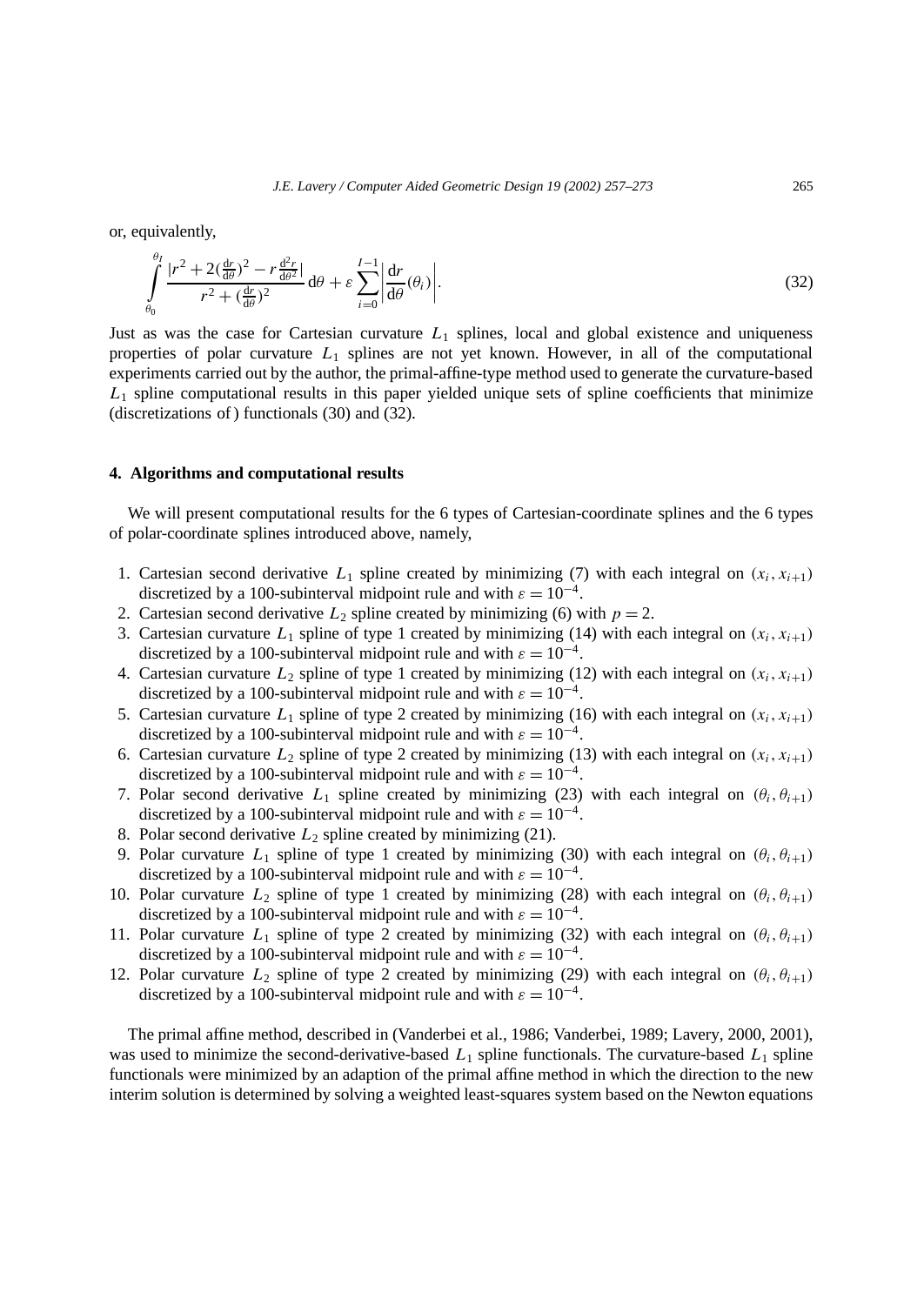or, equivalently,

$$
\int_{\theta_0}^{\theta_I} \frac{|r^2 + 2(\frac{dr}{d\theta})^2 - r\frac{d^2r}{d\theta^2}|}{r^2 + (\frac{dr}{d\theta})^2} d\theta + \varepsilon \sum_{i=0}^{I-1} \left| \frac{dr}{d\theta}(\theta_i) \right|.
$$
\n(32)

Just as was the case for Cartesian curvature  $L_1$  splines, local and global existence and uniqueness properties of polar curvature *L*<sup>1</sup> splines are not yet known. However, in all of the computational experiments carried out by the author, the primal-affine-type method used to generate the curvature-based  $L_1$  spline computational results in this paper yielded unique sets of spline coefficients that minimize (discretizations of ) functionals (30) and (32).

# **4. Algorithms and computational results**

We will present computational results for the 6 types of Cartesian-coordinate splines and the 6 types of polar-coordinate splines introduced above, namely,

- 1. Cartesian second derivative  $L_1$  spline created by minimizing (7) with each integral on  $(x_i, x_{i+1})$ discretized by a 100-subinterval midpoint rule and with  $\varepsilon = 10^{-4}$ .
- 2. Cartesian second derivative  $L_2$  spline created by minimizing (6) with  $p = 2$ .
- 3. Cartesian curvature  $L_1$  spline of type 1 created by minimizing (14) with each integral on  $(x_i, x_{i+1})$ discretized by a 100-subinterval midpoint rule and with  $\varepsilon = 10^{-4}$ .
- 4. Cartesian curvature  $L_2$  spline of type 1 created by minimizing (12) with each integral on  $(x_i, x_{i+1})$ discretized by a 100-subinterval midpoint rule and with  $\varepsilon = 10^{-4}$ .
- 5. Cartesian curvature  $L_1$  spline of type 2 created by minimizing (16) with each integral on  $(x_i, x_{i+1})$ discretized by a 100-subinterval midpoint rule and with  $\varepsilon = 10^{-4}$ .
- 6. Cartesian curvature  $L_2$  spline of type 2 created by minimizing (13) with each integral on  $(x_i, x_{i+1})$ discretized by a 100-subinterval midpoint rule and with  $\varepsilon = 10^{-4}$ .
- 7. Polar second derivative  $L_1$  spline created by minimizing (23) with each integral on  $(\theta_i, \theta_{i+1})$ discretized by a 100-subinterval midpoint rule and with  $\varepsilon = 10^{-4}$ .
- 8. Polar second derivative *L*<sup>2</sup> spline created by minimizing (21).
- 9. Polar curvature  $L_1$  spline of type 1 created by minimizing (30) with each integral on  $(\theta_i, \theta_{i+1})$ discretized by a 100-subinterval midpoint rule and with  $\varepsilon = 10^{-4}$ .
- 10. Polar curvature  $L_2$  spline of type 1 created by minimizing (28) with each integral on  $(\theta_i, \theta_{i+1})$ discretized by a 100-subinterval midpoint rule and with  $\varepsilon = 10^{-4}$ .
- 11. Polar curvature  $L_1$  spline of type 2 created by minimizing (32) with each integral on  $(\theta_i, \theta_{i+1})$ discretized by a 100-subinterval midpoint rule and with  $\varepsilon = 10^{-4}$ .
- 12. Polar curvature  $L_2$  spline of type 2 created by minimizing (29) with each integral on  $(\theta_i, \theta_{i+1})$ discretized by a 100-subinterval midpoint rule and with  $\varepsilon = 10^{-4}$ .

The primal affine method, described in (Vanderbei et al., 1986; Vanderbei, 1989; Lavery, 2000, 2001), was used to minimize the second-derivative-based *L*<sup>1</sup> spline functionals. The curvature-based *L*<sup>1</sup> spline functionals were minimized by an adaption of the primal affine method in which the direction to the new interim solution is determined by solving a weighted least-squares system based on the Newton equations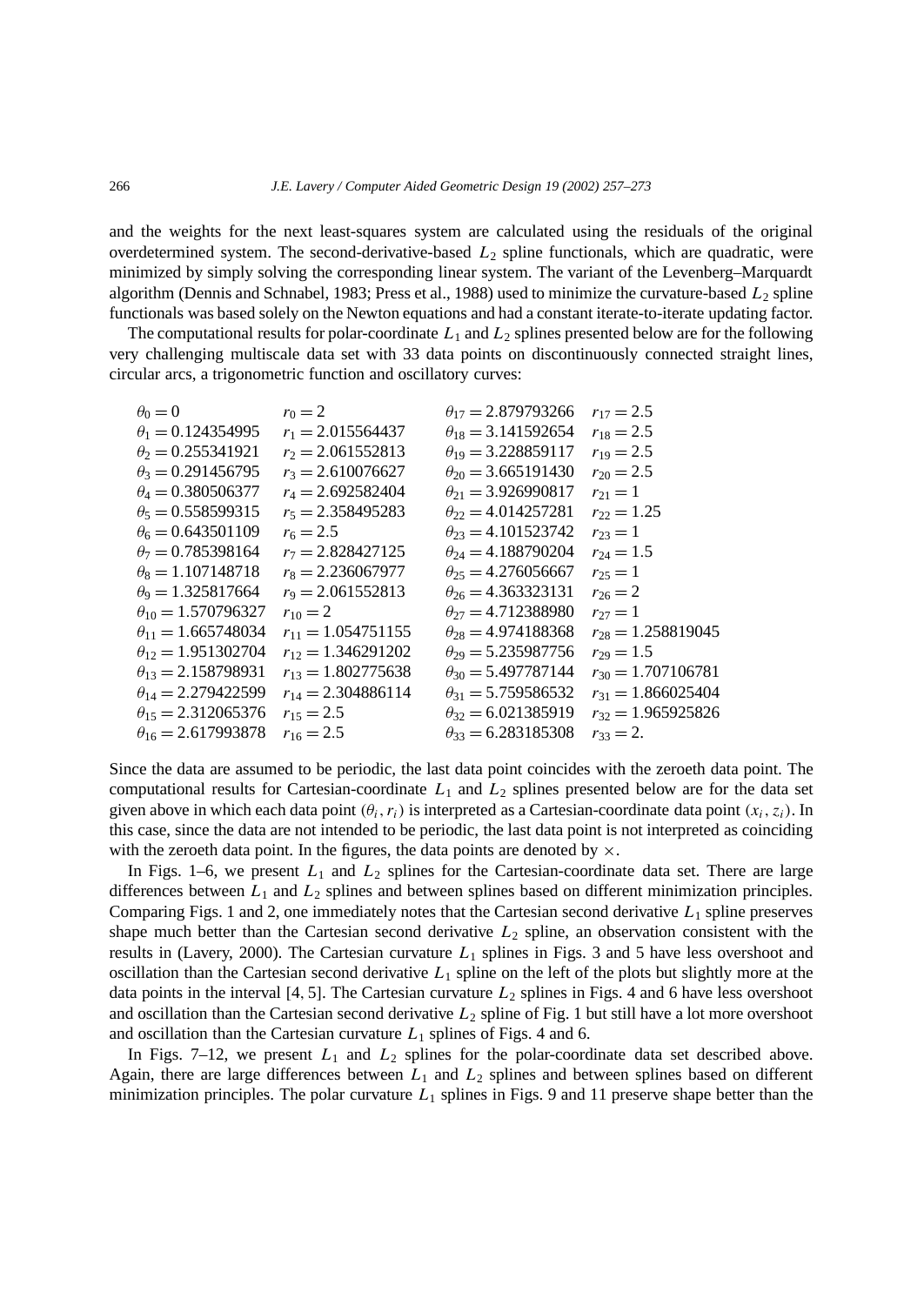and the weights for the next least-squares system are calculated using the residuals of the original overdetermined system. The second-derivative-based  $L_2$  spline functionals, which are quadratic, were minimized by simply solving the corresponding linear system. The variant of the Levenberg–Marquardt algorithm (Dennis and Schnabel, 1983; Press et al., 1988) used to minimize the curvature-based  $L_2$  spline functionals was based solely on the Newton equations and had a constant iterate-to-iterate updating factor.

The computational results for polar-coordinate *L*<sup>1</sup> and *L*<sup>2</sup> splines presented below are for the following very challenging multiscale data set with 33 data points on discontinuously connected straight lines, circular arcs, a trigonometric function and oscillatory curves:

| $\theta_0 = 0$                      | $r_0 = 2$              | $\theta_{17} = 2.879793266$ | $r_{17} = 2.5$         |
|-------------------------------------|------------------------|-----------------------------|------------------------|
| $\theta_1 = 0.124354995$            | $r_1 = 2.015564437$    | $\theta_{18} = 3.141592654$ | $r_{18} = 2.5$         |
| $\theta_2 = 0.255341921$            | $r_2 = 2.061552813$    | $\theta_{19} = 3.228859117$ | $r_{19} = 2.5$         |
| $\theta_3 = 0.291456795$            | $r_3 = 2.610076627$    | $\theta_{20}$ = 3.665191430 | $r_{20} = 2.5$         |
| $\theta_4 = 0.380506377$            | $r_4 = 2.692582404$    | $\theta_{21} = 3.926990817$ | $r_{21}=1$             |
| $\theta_5 = 0.558599315$            | $r_5 = 2.358495283$    | $\theta_{22} = 4.014257281$ | $r_{22} = 1.25$        |
| $\theta_6 = 0.643501109$            | $r_6 = 2.5$            | $\theta_{23} = 4.101523742$ | $r_{23} = 1$           |
| $\theta_7 = 0.785398164$            | $r_7 = 2.828427125$    | $\theta_{24} = 4.188790204$ | $r_{24} = 1.5$         |
| $\theta_8 = 1.107148718$            | $r_8 = 2.236067977$    | $\theta_{25} = 4.276056667$ | $r_{25}=1$             |
| $\theta$ <sub>9</sub> = 1.325817664 | $r_9 = 2.061552813$    | $\theta_{26} = 4.363323131$ | $r_{26}=2$             |
| $\theta_{10} = 1.570796327$         | $r_{10} = 2$           | $\theta_{27} = 4.712388980$ | $r_{27}=1$             |
| $\theta_{11} = 1.665748034$         | $r_{11} = 1.054751155$ | $\theta_{28} = 4.974188368$ | $r_{28} = 1.258819045$ |
| $\theta_{12} = 1.951302704$         | $r_{12} = 1.346291202$ | $\theta_{29} = 5.235987756$ | $r_{29} = 1.5$         |
| $\theta_{13} = 2.158798931$         | $r_{13} = 1.802775638$ | $\theta_{30} = 5.497787144$ | $r_{30} = 1.707106781$ |
| $\theta_{14} = 2.279422599$         | $r_{14} = 2.304886114$ | $\theta_{31} = 5.759586532$ | $r_{31} = 1.866025404$ |
| $\theta_{15} = 2.312065376$         | $r_{15} = 2.5$         | $\theta_{32} = 6.021385919$ | $r_{32} = 1.965925826$ |
| $\theta_{16} = 2.617993878$         | $r_{16} = 2.5$         | $heta_{33} = 6.283185308$   | $r_{33} = 2.$          |
|                                     |                        |                             |                        |

Since the data are assumed to be periodic, the last data point coincides with the zeroeth data point. The computational results for Cartesian-coordinate *L*<sup>1</sup> and *L*<sup>2</sup> splines presented below are for the data set given above in which each data point  $(\theta_i, r_i)$  is interpreted as a Cartesian-coordinate data point  $(x_i, z_i)$ . In this case, since the data are not intended to be periodic, the last data point is not interpreted as coinciding with the zeroeth data point. In the figures, the data points are denoted by  $\times$ .

In Figs.  $1-6$ , we present  $L_1$  and  $L_2$  splines for the Cartesian-coordinate data set. There are large differences between *L*<sup>1</sup> and *L*<sup>2</sup> splines and between splines based on different minimization principles. Comparing Figs. 1 and 2, one immediately notes that the Cartesian second derivative *L*<sup>1</sup> spline preserves shape much better than the Cartesian second derivative *L*<sup>2</sup> spline, an observation consistent with the results in (Lavery, 2000). The Cartesian curvature *L*<sup>1</sup> splines in Figs. 3 and 5 have less overshoot and oscillation than the Cartesian second derivative *L*<sup>1</sup> spline on the left of the plots but slightly more at the data points in the interval  $[4, 5]$ . The Cartesian curvature  $L_2$  splines in Figs. 4 and 6 have less overshoot and oscillation than the Cartesian second derivative *L*<sup>2</sup> spline of Fig. 1 but still have a lot more overshoot and oscillation than the Cartesian curvature  $L_1$  splines of Figs. 4 and 6.

In Figs.  $7-12$ , we present  $L_1$  and  $L_2$  splines for the polar-coordinate data set described above. Again, there are large differences between *L*<sup>1</sup> and *L*<sup>2</sup> splines and between splines based on different minimization principles. The polar curvature  $L_1$  splines in Figs. 9 and 11 preserve shape better than the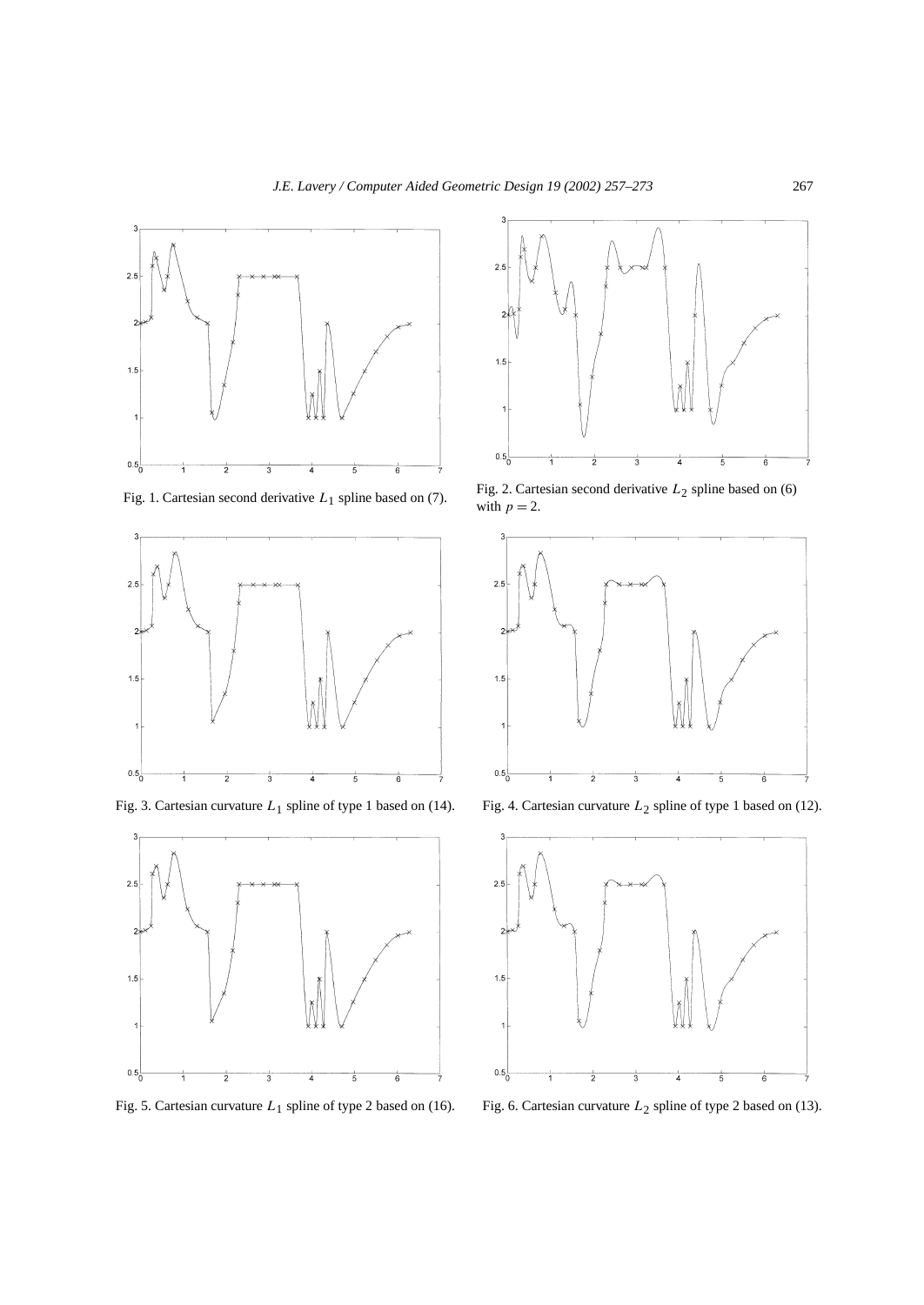



Fig. 3. Cartesian curvature *L*1 spline of type 1 based on (14). Fig. 4. Cartesian curvature *L*2 spline of type 1 based on (12).



Fig. 5. Cartesian curvature *L*1 spline of type 2 based on (16). Fig. 6. Cartesian curvature *L*2 spline of type 2 based on (13).



Fig. 1. Cartesian second derivative *L*<sub>1</sub> spline based on (7). Fig. 2. Cartesian second derivative *L*<sub>2</sub> spline based on (6) with  $p = 2$ .



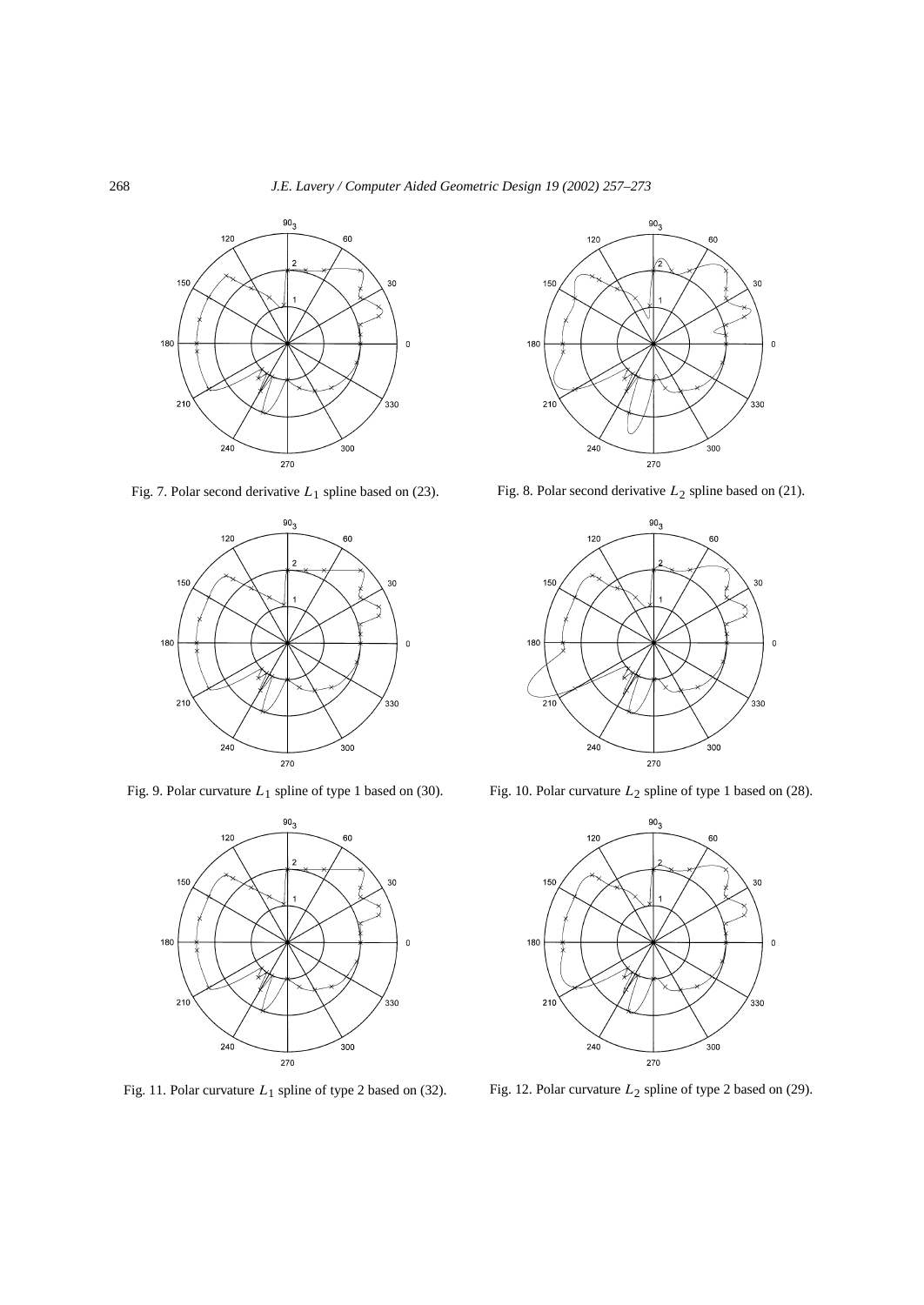## 268 *J.E. Lavery / Computer Aided Geometric Design 19 (2002) 257–273*



Fig. 7. Polar second derivative *L*<sub>1</sub> spline based on (23). Fig. 8. Polar second derivative *L*<sub>2</sub> spline based on (21).









Fig. 9. Polar curvature *L*<sub>1</sub> spline of type 1 based on (30). Fig. 10. Polar curvature *L*<sub>2</sub> spline of type 1 based on (28).



Fig. 11. Polar curvature *L*<sub>1</sub> spline of type 2 based on (32). Fig. 12. Polar curvature *L*<sub>2</sub> spline of type 2 based on (29).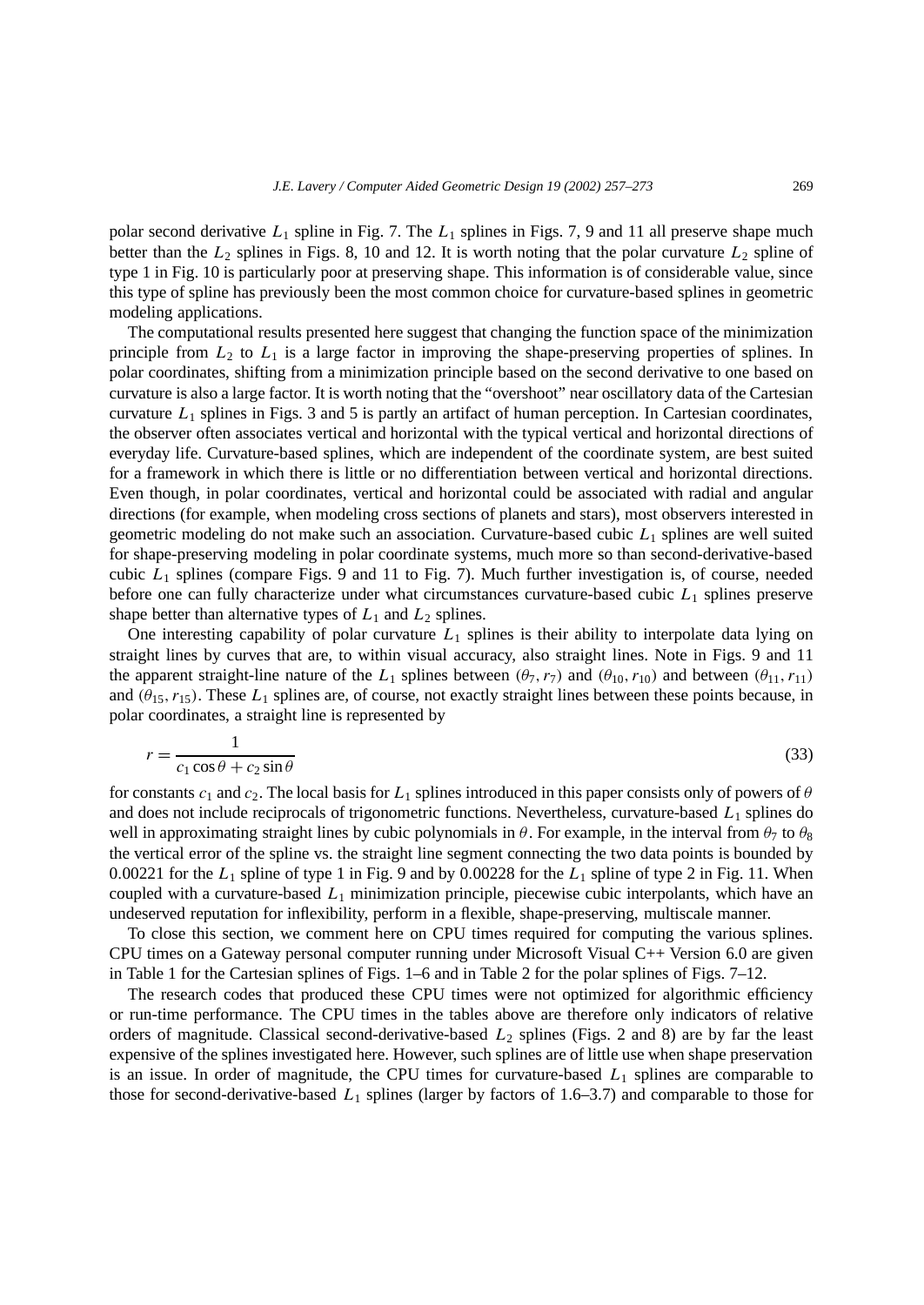polar second derivative  $L_1$  spline in Fig. 7. The  $L_1$  splines in Figs. 7, 9 and 11 all preserve shape much better than the  $L_2$  splines in Figs. 8, 10 and 12. It is worth noting that the polar curvature  $L_2$  spline of type 1 in Fig. 10 is particularly poor at preserving shape. This information is of considerable value, since this type of spline has previously been the most common choice for curvature-based splines in geometric modeling applications.

The computational results presented here suggest that changing the function space of the minimization principle from *L*<sup>2</sup> to *L*<sup>1</sup> is a large factor in improving the shape-preserving properties of splines. In polar coordinates, shifting from a minimization principle based on the second derivative to one based on curvature is also a large factor. It is worth noting that the "overshoot" near oscillatory data of the Cartesian curvature *L*<sup>1</sup> splines in Figs. 3 and 5 is partly an artifact of human perception. In Cartesian coordinates, the observer often associates vertical and horizontal with the typical vertical and horizontal directions of everyday life. Curvature-based splines, which are independent of the coordinate system, are best suited for a framework in which there is little or no differentiation between vertical and horizontal directions. Even though, in polar coordinates, vertical and horizontal could be associated with radial and angular directions (for example, when modeling cross sections of planets and stars), most observers interested in geometric modeling do not make such an association. Curvature-based cubic *L*<sup>1</sup> splines are well suited for shape-preserving modeling in polar coordinate systems, much more so than second-derivative-based cubic *L*<sup>1</sup> splines (compare Figs. 9 and 11 to Fig. 7). Much further investigation is, of course, needed before one can fully characterize under what circumstances curvature-based cubic *L*<sup>1</sup> splines preserve shape better than alternative types of  $L_1$  and  $L_2$  splines.

One interesting capability of polar curvature *L*<sup>1</sup> splines is their ability to interpolate data lying on straight lines by curves that are, to within visual accuracy, also straight lines. Note in Figs. 9 and 11 the apparent straight-line nature of the  $L_1$  splines between  $(\theta_7, r_7)$  and  $(\theta_{10}, r_{10})$  and between  $(\theta_{11}, r_{11})$ and  $(\theta_{15}, r_{15})$ . These  $L_1$  splines are, of course, not exactly straight lines between these points because, in polar coordinates, a straight line is represented by

$$
r = \frac{1}{c_1 \cos \theta + c_2 \sin \theta} \tag{33}
$$

for constants  $c_1$  and  $c_2$ . The local basis for  $L_1$  splines introduced in this paper consists only of powers of  $\theta$ and does not include reciprocals of trigonometric functions. Nevertheless, curvature-based  $L_1$  splines do well in approximating straight lines by cubic polynomials in  $\theta$ . For example, in the interval from  $\theta_7$  to  $\theta_8$ the vertical error of the spline vs. the straight line segment connecting the two data points is bounded by 0*.*00221 for the *L*<sup>1</sup> spline of type 1 in Fig. 9 and by 0*.*00228 for the *L*<sup>1</sup> spline of type 2 in Fig. 11. When coupled with a curvature-based *L*<sup>1</sup> minimization principle, piecewise cubic interpolants, which have an undeserved reputation for inflexibility, perform in a flexible, shape-preserving, multiscale manner.

To close this section, we comment here on CPU times required for computing the various splines. CPU times on a Gateway personal computer running under Microsoft Visual  $C_{++}$  Version 6.0 are given in Table 1 for the Cartesian splines of Figs. 1–6 and in Table 2 for the polar splines of Figs. 7–12.

The research codes that produced these CPU times were not optimized for algorithmic efficiency or run-time performance. The CPU times in the tables above are therefore only indicators of relative orders of magnitude. Classical second-derivative-based *L*<sup>2</sup> splines (Figs. 2 and 8) are by far the least expensive of the splines investigated here. However, such splines are of little use when shape preservation is an issue. In order of magnitude, the CPU times for curvature-based  $L_1$  splines are comparable to those for second-derivative-based *L*<sup>1</sup> splines (larger by factors of 1.6–3.7) and comparable to those for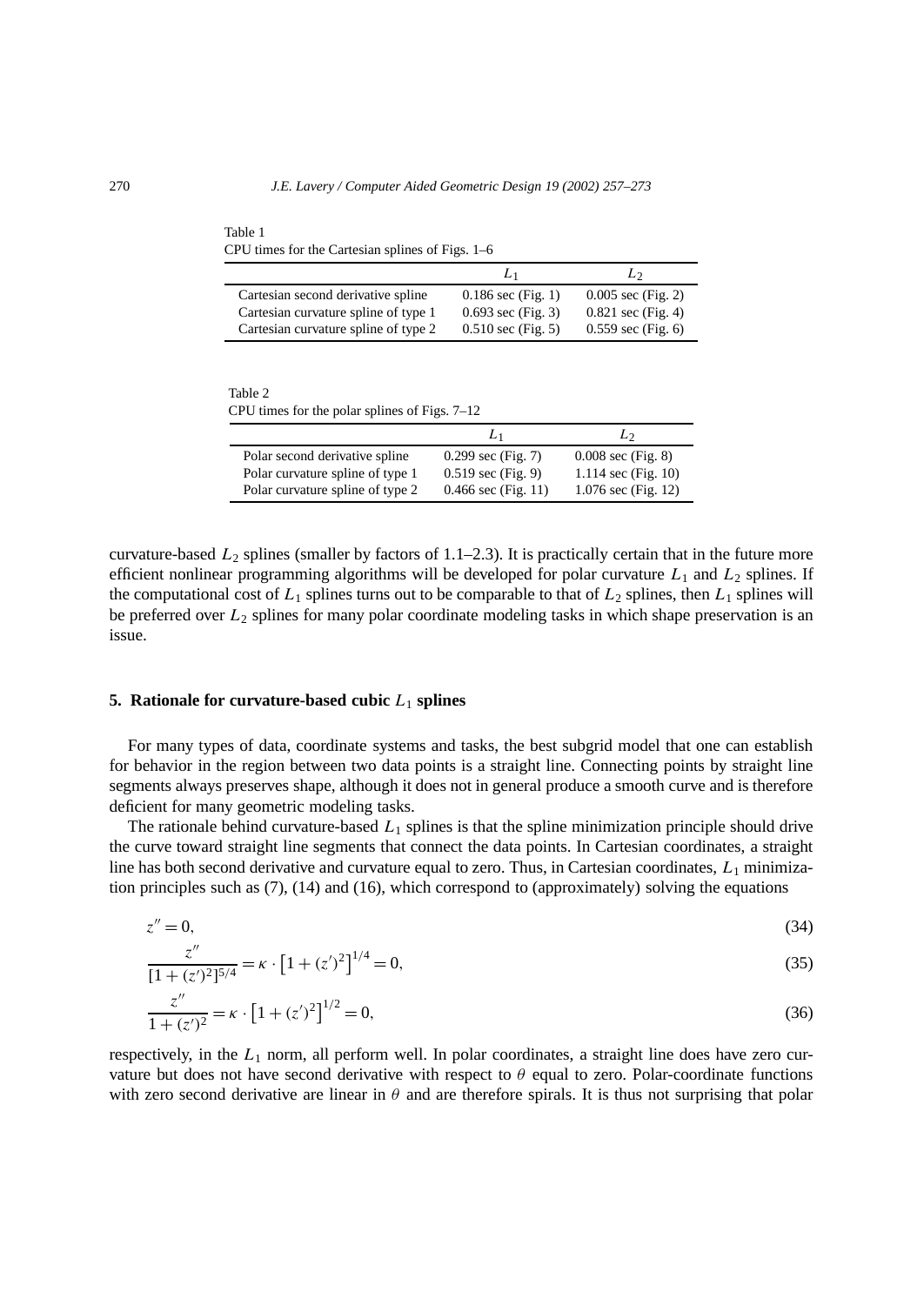| $\mathcal{L}$ c throse for the cartesian spinnes of Figs. F $\sigma$ |                              |                      |  |  |
|----------------------------------------------------------------------|------------------------------|----------------------|--|--|
|                                                                      | L١                           | L2                   |  |  |
| Cartesian second derivative spline                                   | $0.186$ sec (Fig. 1)         | $0.005$ sec (Fig. 2) |  |  |
| Cartesian curvature spline of type 1                                 | $0.693$ sec (Fig. 3)         | $0.821$ sec (Fig. 4) |  |  |
| Cartesian curvature spline of type 2                                 | $0.510 \text{ sec}$ (Fig. 5) | $0.559$ sec (Fig. 6) |  |  |

Table 1 CPU times for the Cartesian splines of Figs. 1–6

Table 2 CPU times for the polar splines of Figs. 7–12

|                                  | L1                    | L٠                           |
|----------------------------------|-----------------------|------------------------------|
| Polar second derivative spline   | $0.299$ sec (Fig. 7)  | $0.008 \text{ sec (Fig. 8)}$ |
| Polar curvature spline of type 1 | $0.519$ sec (Fig. 9)  | 1.114 sec $(Fig. 10)$        |
| Polar curvature spline of type 2 | $0.466$ sec (Fig. 11) | 1.076 sec (Fig. 12)          |

curvature-based  $L_2$  splines (smaller by factors of 1.1–2.3). It is practically certain that in the future more efficient nonlinear programming algorithms will be developed for polar curvature *L*<sup>1</sup> and *L*<sup>2</sup> splines. If the computational cost of  $L_1$  splines turns out to be comparable to that of  $L_2$  splines, then  $L_1$  splines will be preferred over *L*<sup>2</sup> splines for many polar coordinate modeling tasks in which shape preservation is an issue.

## **5. Rationale for curvature-based cubic**  $L_1$  splines

For many types of data, coordinate systems and tasks, the best subgrid model that one can establish for behavior in the region between two data points is a straight line. Connecting points by straight line segments always preserves shape, although it does not in general produce a smooth curve and is therefore deficient for many geometric modeling tasks.

The rationale behind curvature-based  $L_1$  splines is that the spline minimization principle should drive the curve toward straight line segments that connect the data points. In Cartesian coordinates, a straight line has both second derivative and curvature equal to zero. Thus, in Cartesian coordinates, *L*<sub>1</sub> minimization principles such as (7), (14) and (16), which correspond to (approximately) solving the equations

$$
z'' = 0,\tag{34}
$$

$$
\frac{z''}{[1+(z')^2]^{5/4}} = \kappa \cdot [1+(z')^2]^{1/4} = 0,
$$
\n(35)

$$
\frac{z''}{1 + (z')^2} = \kappa \cdot \left[1 + (z')^2\right]^{1/2} = 0,\tag{36}
$$

respectively, in the *L*<sup>1</sup> norm, all perform well. In polar coordinates, a straight line does have zero curvature but does not have second derivative with respect to  $\theta$  equal to zero. Polar-coordinate functions with zero second derivative are linear in  $\theta$  and are therefore spirals. It is thus not surprising that polar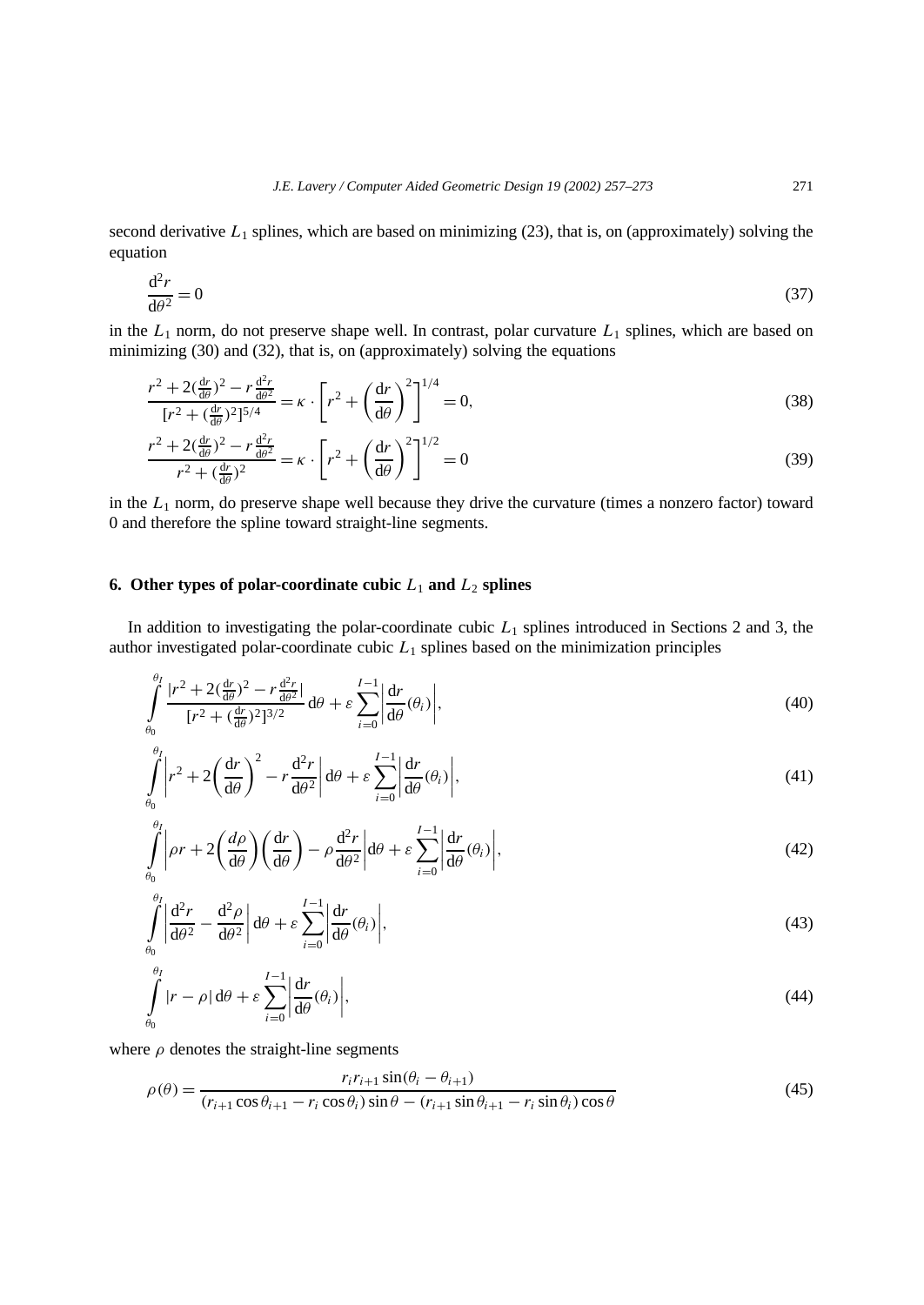second derivative  $L_1$  splines, which are based on minimizing  $(23)$ , that is, on (approximately) solving the equation

$$
\frac{\mathrm{d}^2 r}{\mathrm{d}\theta^2} = 0\tag{37}
$$

in the  $L_1$  norm, do not preserve shape well. In contrast, polar curvature  $L_1$  splines, which are based on minimizing (30) and (32), that is, on (approximately) solving the equations

$$
\frac{r^2 + 2(\frac{dr}{d\theta})^2 - r\frac{d^2r}{d\theta^2}}{[r^2 + (\frac{dr}{d\theta})^2]^{5/4}} = \kappa \cdot \left[r^2 + \left(\frac{dr}{d\theta}\right)^2\right]^{1/4} = 0,
$$
\n(38)

$$
\frac{r^2 + 2(\frac{dr}{d\theta})^2 - r\frac{d^2r}{d\theta^2}}{r^2 + (\frac{dr}{d\theta})^2} = \kappa \cdot \left[ r^2 + \left(\frac{dr}{d\theta}\right)^2 \right]^{1/2} = 0
$$
\n(39)

in the  $L_1$  norm, do preserve shape well because they drive the curvature (times a nonzero factor) toward 0 and therefore the spline toward straight-line segments.

# **6. Other types of polar-coordinate cubic**  $L_1$  and  $L_2$  splines

In addition to investigating the polar-coordinate cubic  $L_1$  splines introduced in Sections 2 and 3, the author investigated polar-coordinate cubic *L*<sup>1</sup> splines based on the minimization principles

$$
\int_{\theta_0}^{\theta_1} \frac{|r^2 + 2(\frac{dr}{d\theta})^2 - r\frac{d^2r}{d\theta^2}|}{[r^2 + (\frac{dr}{d\theta})^2]^{3/2}} d\theta + \varepsilon \sum_{i=0}^{I-1} \left| \frac{dr}{d\theta}(\theta_i) \right|,
$$
\n(40)

$$
\int_{\theta_0}^{\theta_I} \left| r^2 + 2 \left( \frac{dr}{d\theta} \right)^2 - r \frac{d^2 r}{d\theta^2} \right| d\theta + \varepsilon \sum_{i=0}^{I-1} \left| \frac{dr}{d\theta} (\theta_i) \right|, \tag{41}
$$

$$
\int_{\theta_0}^{\theta_I} \left| \rho r + 2 \left( \frac{d\rho}{d\theta} \right) \left( \frac{dr}{d\theta} \right) - \rho \frac{d^2 r}{d\theta^2} \right| d\theta + \varepsilon \sum_{i=0}^{I-1} \left| \frac{dr}{d\theta} (\theta_i) \right|, \tag{42}
$$

$$
\int_{\theta_0}^{\theta_I} \left| \frac{\mathrm{d}^2 r}{\mathrm{d}\theta^2} - \frac{\mathrm{d}^2 \rho}{\mathrm{d}\theta^2} \right| \mathrm{d}\theta + \varepsilon \sum_{i=0}^{I-1} \left| \frac{\mathrm{d} r}{\mathrm{d}\theta}(\theta_i) \right|, \tag{43}
$$

$$
\int_{\theta_0}^{\theta_I} |r - \rho| d\theta + \varepsilon \sum_{i=0}^{I-1} \left| \frac{dr}{d\theta}(\theta_i) \right|, \tag{44}
$$

where  $\rho$  denotes the straight-line segments

$$
\rho(\theta) = \frac{r_i r_{i+1} \sin(\theta_i - \theta_{i+1})}{(r_{i+1} \cos \theta_{i+1} - r_i \cos \theta_i) \sin \theta - (r_{i+1} \sin \theta_{i+1} - r_i \sin \theta_i) \cos \theta}
$$
(45)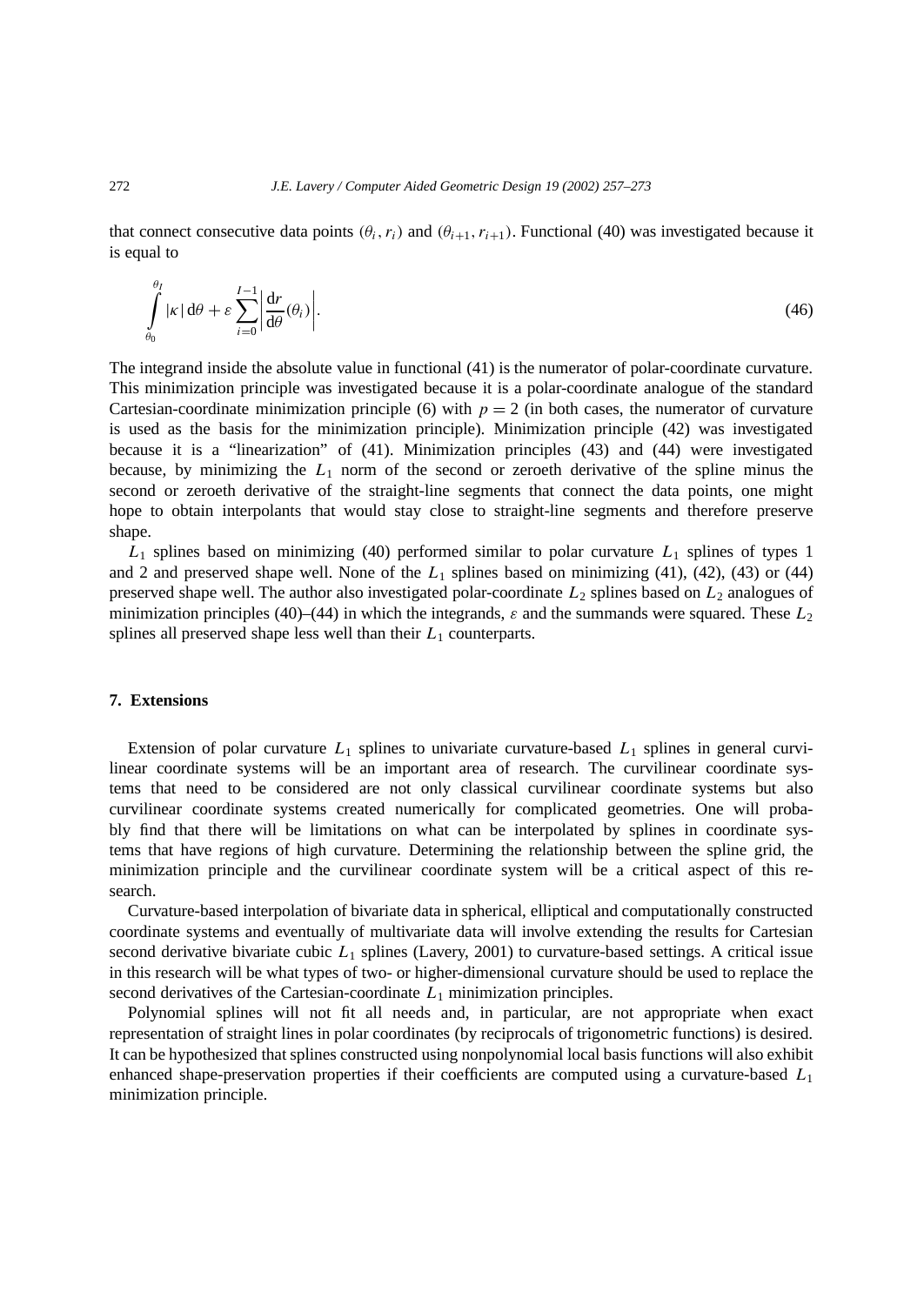that connect consecutive data points  $(\theta_i, r_i)$  and  $(\theta_{i+1}, r_{i+1})$ . Functional (40) was investigated because it is equal to

$$
\int_{\theta_0}^{\theta_I} |\kappa| \, d\theta + \varepsilon \sum_{i=0}^{I-1} \left| \frac{dr}{d\theta}(\theta_i) \right|.
$$
\n(46)

The integrand inside the absolute value in functional (41) is the numerator of polar-coordinate curvature. This minimization principle was investigated because it is a polar-coordinate analogue of the standard Cartesian-coordinate minimization principle (6) with  $p = 2$  (in both cases, the numerator of curvature is used as the basis for the minimization principle). Minimization principle (42) was investigated because it is a "linearization" of (41). Minimization principles (43) and (44) were investigated because, by minimizing the  $L_1$  norm of the second or zeroeth derivative of the spline minus the second or zeroeth derivative of the straight-line segments that connect the data points, one might hope to obtain interpolants that would stay close to straight-line segments and therefore preserve shape.

 $L_1$  splines based on minimizing (40) performed similar to polar curvature  $L_1$  splines of types 1 and 2 and preserved shape well. None of the  $L_1$  splines based on minimizing (41), (42), (43) or (44) preserved shape well. The author also investigated polar-coordinate  $L_2$  splines based on  $L_2$  analogues of minimization principles (40)–(44) in which the integrands,  $\varepsilon$  and the summands were squared. These  $L_2$ splines all preserved shape less well than their  $L_1$  counterparts.

# **7. Extensions**

Extension of polar curvature  $L_1$  splines to univariate curvature-based  $L_1$  splines in general curvilinear coordinate systems will be an important area of research. The curvilinear coordinate systems that need to be considered are not only classical curvilinear coordinate systems but also curvilinear coordinate systems created numerically for complicated geometries. One will probably find that there will be limitations on what can be interpolated by splines in coordinate systems that have regions of high curvature. Determining the relationship between the spline grid, the minimization principle and the curvilinear coordinate system will be a critical aspect of this research.

Curvature-based interpolation of bivariate data in spherical, elliptical and computationally constructed coordinate systems and eventually of multivariate data will involve extending the results for Cartesian second derivative bivariate cubic *L*<sup>1</sup> splines (Lavery, 2001) to curvature-based settings. A critical issue in this research will be what types of two- or higher-dimensional curvature should be used to replace the second derivatives of the Cartesian-coordinate *L*<sup>1</sup> minimization principles.

Polynomial splines will not fit all needs and, in particular, are not appropriate when exact representation of straight lines in polar coordinates (by reciprocals of trigonometric functions) is desired. It can be hypothesized that splines constructed using nonpolynomial local basis functions will also exhibit enhanced shape-preservation properties if their coefficients are computed using a curvature-based *L*<sup>1</sup> minimization principle.